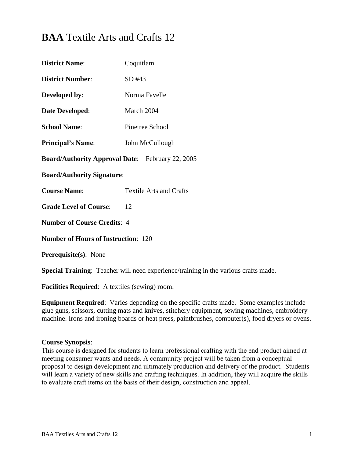# **BAA** Textile Arts and Crafts 12

| <b>District Name:</b>                                   | Coquitlam                      |  |
|---------------------------------------------------------|--------------------------------|--|
| <b>District Number:</b>                                 | SD #43                         |  |
| Developed by:                                           | Norma Favelle                  |  |
| Date Developed:                                         | March 2004                     |  |
| <b>School Name:</b>                                     | Pinetree School                |  |
| <b>Principal's Name:</b>                                | John McCullough                |  |
| <b>Board/Authority Approval Date:</b> February 22, 2005 |                                |  |
| <b>Board/Authority Signature:</b>                       |                                |  |
| <b>Course Name:</b>                                     | <b>Textile Arts and Crafts</b> |  |
| <b>Grade Level of Course:</b>                           | 12                             |  |
| <b>Number of Course Credits: 4</b>                      |                                |  |
| <b>Number of Hours of Instruction: 120</b>              |                                |  |
| <b>Prerequisite(s): None</b>                            |                                |  |

**Special Training**: Teacher will need experience/training in the various crafts made.

**Facilities Required**: A textiles (sewing) room.

**Equipment Required**: Varies depending on the specific crafts made. Some examples include glue guns, scissors, cutting mats and knives, stitchery equipment, sewing machines, embroidery machine. Irons and ironing boards or heat press, paintbrushes, computer(s), food dryers or ovens.

#### **Course Synopsis**:

This course is designed for students to learn professional crafting with the end product aimed at meeting consumer wants and needs. A community project will be taken from a conceptual proposal to design development and ultimately production and delivery of the product. Students will learn a variety of new skills and crafting techniques. In addition, they will acquire the skills to evaluate craft items on the basis of their design, construction and appeal.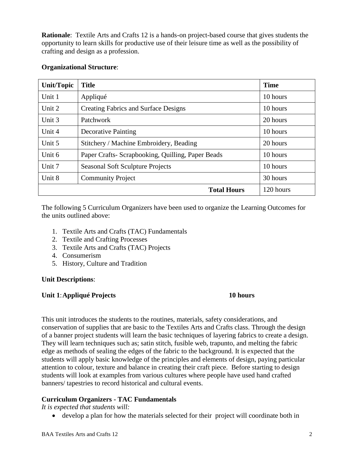**Rationale**: Textile Arts and Crafts 12 is a hands-on project-based course that gives students the opportunity to learn skills for productive use of their leisure time as well as the possibility of crafting and design as a profession.

| <b>Unit/Topic</b> | <b>Title</b>                                      | <b>Time</b> |
|-------------------|---------------------------------------------------|-------------|
| Unit 1            | Appliqué                                          | 10 hours    |
| Unit 2            | <b>Creating Fabrics and Surface Designs</b>       | 10 hours    |
| Unit 3            | Patchwork                                         | 20 hours    |
| Unit 4            | <b>Decorative Painting</b>                        | 10 hours    |
| Unit 5            | Stitchery / Machine Embroidery, Beading           | 20 hours    |
| Unit 6            | Paper Crafts- Scrapbooking, Quilling, Paper Beads | 10 hours    |
| Unit 7            | <b>Seasonal Soft Sculpture Projects</b>           | 10 hours    |
| Unit 8            | <b>Community Project</b>                          | 30 hours    |
|                   | <b>Total Hours</b>                                | 120 hours   |

#### **Organizational Structure**:

The following 5 Curriculum Organizers have been used to organize the Learning Outcomes for the units outlined above:

- 1. Textile Arts and Crafts (TAC) Fundamentals
- 2. Textile and Crafting Processes
- 3. Textile Arts and Crafts (TAC) Projects
- 4. Consumerism
- 5. History, Culture and Tradition

#### **Unit Descriptions**:

#### **Unit 1**:**Appliqué Projects 10 hours**

This unit introduces the students to the routines, materials, safety considerations, and conservation of supplies that are basic to the Textiles Arts and Crafts class. Through the design of a banner project students will learn the basic techniques of layering fabrics to create a design. They will learn techniques such as; satin stitch, fusible web, trapunto, and melting the fabric edge as methods of sealing the edges of the fabric to the background. It is expected that the students will apply basic knowledge of the principles and elements of design, paying particular attention to colour, texture and balance in creating their craft piece. Before starting to design students will look at examples from various cultures where people have used hand crafted banners/ tapestries to record historical and cultural events.

# **Curriculum Organizers - TAC Fundamentals**

*It is expected that students will:*

• develop a plan for how the materials selected for their project will coordinate both in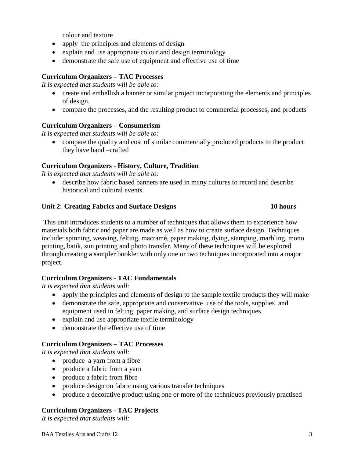colour and texture

- apply the principles and elements of design
- explain and use appropriate colour and design terminology
- demonstrate the safe use of equipment and effective use of time

# **Curriculum Organizers – TAC Processes**

*It is expected that students will be able to:*

- create and embellish a banner or similar project incorporating the elements and principles of design.
- compare the processes, and the resulting product to commercial processes, and products

# **Curriculum Organizers – Consumerism**

*It is expected that students will be able to:*

• compare the quality and cost of similar commercially produced products to the product they have hand –crafted

# **Curriculum Organizers** - **History, Culture, Tradition**

*It is expected that students will be able to:*

 describe how fabric based banners are used in many cultures to record and describe historical and cultural events.

## **Unit 2**: **Creating Fabrics and Surface Designs 10 hours**

This unit introduces students to a number of techniques that allows them to experience how materials both fabric and paper are made as well as how to create surface design. Techniques include: spinning, weaving, felting, macramé, paper making, dying, stamping, marbling, mono printing, batik, sun printing and photo transfer. Many of these techniques will be explored through creating a sampler booklet with only one or two techniques incorporated into a major project.

# **Curriculum Organizers - TAC Fundamentals**

*It is expected that students will:*

- apply the principles and elements of design to the sample textile products they will make
- demonstrate the safe, appropriate and conservative use of the tools, supplies and equipment used in felting, paper making, and surface design techniques.
- explain and use appropriate textile terminology
- demonstrate the effective use of time

# **Curriculum Organizers – TAC Processes**

*It is expected that students will:*

- produce a yarn from a fibre
- produce a fabric from a yarn
- produce a fabric from fibre
- produce design on fabric using various transfer techniques
- produce a decorative product using one or more of the techniques previously practised

# **Curriculum Organizers - TAC Projects**

*It is expected that students will:*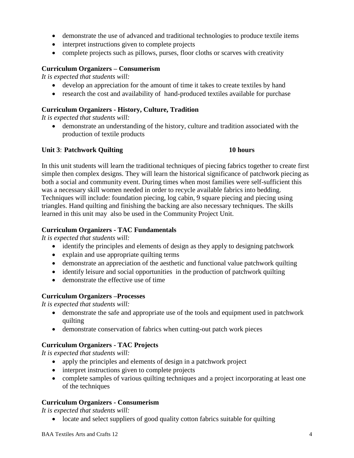- demonstrate the use of advanced and traditional technologies to produce textile items
- interpret instructions given to complete projects
- complete projects such as pillows, purses, floor cloths or scarves with creativity

#### **Curriculum Organizers – Consumerism**

*It is expected that students will:*

- develop an appreciation for the amount of time it takes to create textiles by hand
- research the cost and availability of hand-produced textiles available for purchase

#### **Curriculum Organizers - History, Culture, Tradition**

*It is expected that students will:*

 demonstrate an understanding of the history, culture and tradition associated with the production of textile products

#### **Unit 3**: **Patchwork Quilting 10 hours**

In this unit students will learn the traditional techniques of piecing fabrics together to create first simple then complex designs. They will learn the historical significance of patchwork piecing as both a social and community event. During times when most families were self-sufficient this was a necessary skill women needed in order to recycle available fabrics into bedding. Techniques will include: foundation piecing, log cabin, 9 square piecing and piecing using triangles. Hand quilting and finishing the backing are also necessary techniques. The skills learned in this unit may also be used in the Community Project Unit.

#### **Curriculum Organizers - TAC Fundamentals**

*It is expected that students will:*

- identify the principles and elements of design as they apply to designing patchwork
- explain and use appropriate quilting terms
- demonstrate an appreciation of the aesthetic and functional value patchwork quilting
- identify leisure and social opportunities in the production of patchwork quilting
- demonstrate the effective use of time

#### **Curriculum Organizers –Processes**

*It is expected that students will:*

- demonstrate the safe and appropriate use of the tools and equipment used in patchwork quilting
- demonstrate conservation of fabrics when cutting-out patch work pieces

# **Curriculum Organizers - TAC Projects**

*It is expected that students will:*

- apply the principles and elements of design in a patchwork project
- interpret instructions given to complete projects
- complete samples of various quilting techniques and a project incorporating at least one of the techniques

# **Curriculum Organizers - Consumerism**

*It is expected that students will:*

• locate and select suppliers of good quality cotton fabrics suitable for quilting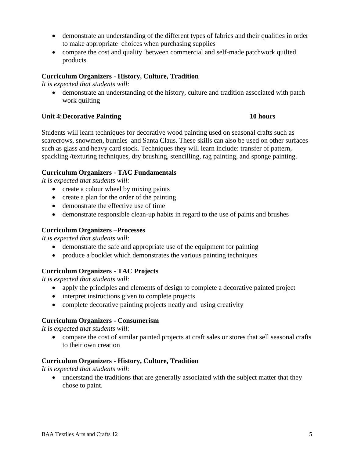- demonstrate an understanding of the different types of fabrics and their qualities in order to make appropriate choices when purchasing supplies
- compare the cost and quality between commercial and self-made patchwork quilted products

## **Curriculum Organizers - History, Culture, Tradition**

*It is expected that students will:*

 demonstrate an understanding of the history, culture and tradition associated with patch work quilting

### **Unit 4:** Decorative Painting 10 hours

Students will learn techniques for decorative wood painting used on seasonal crafts such as scarecrows, snowmen, bunnies and Santa Claus. These skills can also be used on other surfaces such as glass and heavy card stock. Techniques they will learn include: transfer of pattern, spackling /texturing techniques, dry brushing, stencilling, rag painting, and sponge painting.

## **Curriculum Organizers - TAC Fundamentals**

*It is expected that students will:*

- create a colour wheel by mixing paints
- create a plan for the order of the painting
- demonstrate the effective use of time
- demonstrate responsible clean-up habits in regard to the use of paints and brushes

#### **Curriculum Organizers –Processes**

*It is expected that students will:*

- demonstrate the safe and appropriate use of the equipment for painting
- produce a booklet which demonstrates the various painting techniques

# **Curriculum Organizers - TAC Projects**

*It is expected that students will:*

- apply the principles and elements of design to complete a decorative painted project
- interpret instructions given to complete projects
- complete decorative painting projects neatly and using creativity

#### **Curriculum Organizers - Consumerism**

*It is expected that students will:*

 compare the cost of similar painted projects at craft sales or stores that sell seasonal crafts to their own creation

#### **Curriculum Organizers - History, Culture, Tradition**

*It is expected that students will:*

 understand the traditions that are generally associated with the subject matter that they chose to paint.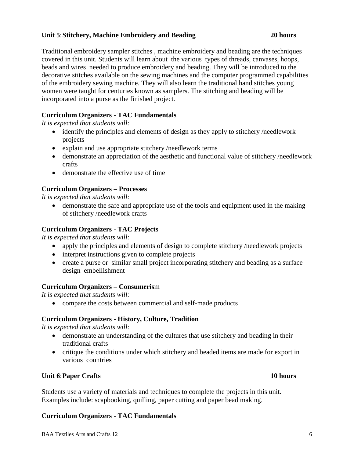## **Unit 5**:**Stitchery, Machine Embroidery and Beading 20 hours**

Traditional embroidery sampler stitches , machine embroidery and beading are the techniques covered in this unit. Students will learn about the various types of threads, canvases, hoops, beads and wires needed to produce embroidery and beading. They will be introduced to the decorative stitches available on the sewing machines and the computer programmed capabilities of the embroidery sewing machine. They will also learn the traditional hand stitches young women were taught for centuries known as samplers. The stitching and beading will be incorporated into a purse as the finished project.

# **Curriculum Organizers - TAC Fundamentals**

*It is expected that students will:*

- identify the principles and elements of design as they apply to stitchery /needlework projects
- explain and use appropriate stitchery /needlework terms
- demonstrate an appreciation of the aesthetic and functional value of stitchery /needlework crafts
- demonstrate the effective use of time

# **Curriculum Organizers – Processes**

*It is expected that students will:*

 demonstrate the safe and appropriate use of the tools and equipment used in the making of stitchery /needlework crafts

# **Curriculum Organizers - TAC Projects**

*It is expected that students will:*

- apply the principles and elements of design to complete stitchery /needlework projects
- interpret instructions given to complete projects
- create a purse or similar small project incorporating stitchery and beading as a surface design embellishment

# **Curriculum Organizers – Consumeris**m

*It is expected that students will:*

• compare the costs between commercial and self-made products

# **Curriculum Organizers - History, Culture, Tradition**

*It is expected that students will:*

- demonstrate an understanding of the cultures that use stitchery and beading in their traditional crafts
- critique the conditions under which stitchery and beaded items are made for export in various countries

# **Unit 6**:**Paper Crafts 10 hours**

Students use a variety of materials and techniques to complete the projects in this unit. Examples include: scapbooking, quilling, paper cutting and paper bead making.

# **Curriculum Organizers - TAC Fundamentals**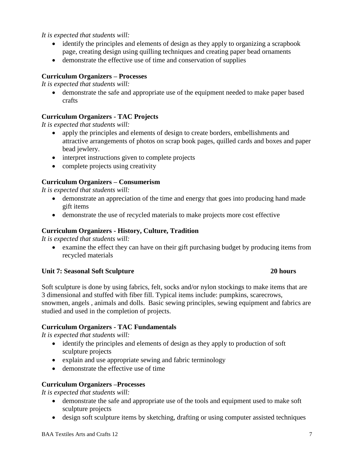# *It is expected that students will:*

- identify the principles and elements of design as they apply to organizing a scrapbook page, creating design using quilling techniques and creating paper bead ornaments
- demonstrate the effective use of time and conservation of supplies

## **Curriculum Organizers – Processes**

*It is expected that students will:*

 demonstrate the safe and appropriate use of the equipment needed to make paper based crafts

# **Curriculum Organizers - TAC Projects**

*It is expected that students will:*

- apply the principles and elements of design to create borders, embellishments and attractive arrangements of photos on scrap book pages, quilled cards and boxes and paper bead jewlery.
- interpret instructions given to complete projects
- complete projects using creativity

## **Curriculum Organizers – Consumerism**

*It is expected that students will:*

- demonstrate an appreciation of the time and energy that goes into producing hand made gift items
- demonstrate the use of recycled materials to make projects more cost effective

# **Curriculum Organizers - History, Culture, Tradition**

*It is expected that students will:*

 examine the effect they can have on their gift purchasing budget by producing items from recycled materials

#### **Unit 7: Seasonal Soft Sculpture 20 hours**

Soft sculpture is done by using fabrics, felt, socks and/or nylon stockings to make items that are 3 dimensional and stuffed with fiber fill. Typical items include: pumpkins, scarecrows, snowmen, angels , animals and dolls. Basic sewing principles, sewing equipment and fabrics are studied and used in the completion of projects.

# **Curriculum Organizers - TAC Fundamentals**

*It is expected that students will:*

- identify the principles and elements of design as they apply to production of soft sculpture projects
- explain and use appropriate sewing and fabric terminology
- demonstrate the effective use of time

# **Curriculum Organizers –Processes**

*It is expected that students will:*

- demonstrate the safe and appropriate use of the tools and equipment used to make soft sculpture projects
- design soft sculpture items by sketching, drafting or using computer assisted techniques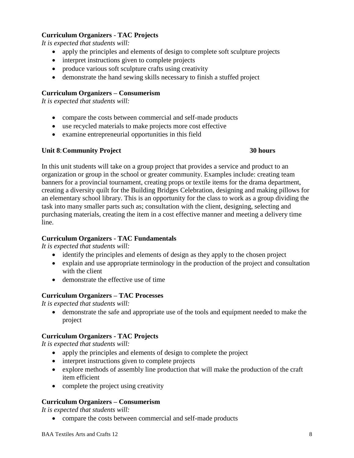# **Curriculum Organizers** - **TAC Projects**

*It is expected that students will:*

- apply the principles and elements of design to complete soft sculpture projects
- interpret instructions given to complete projects
- produce various soft sculpture crafts using creativity
- demonstrate the hand sewing skills necessary to finish a stuffed project

#### **Curriculum Organizers – Consumerism**

*It is expected that students will:*

- compare the costs between commercial and self-made products
- use recycled materials to make projects more cost effective
- examine entrepreneurial opportunities in this field

## **Unit 8**:**Community Project 30 hours**

In this unit students will take on a group project that provides a service and product to an organization or group in the school or greater community. Examples include: creating team banners for a provincial tournament, creating props or textile items for the drama department, creating a diversity quilt for the Building Bridges Celebration, designing and making pillows for an elementary school library. This is an opportunity for the class to work as a group dividing the task into many smaller parts such as; consultation with the client, designing, selecting and purchasing materials, creating the item in a cost effective manner and meeting a delivery time line.

#### **Curriculum Organizers - TAC Fundamentals**

*It is expected that students will:*

- identify the principles and elements of design as they apply to the chosen project
- explain and use appropriate terminology in the production of the project and consultation with the client
- demonstrate the effective use of time

#### **Curriculum Organizers – TAC Processes**

*It is expected that students will:*

 demonstrate the safe and appropriate use of the tools and equipment needed to make the project

# **Curriculum Organizers - TAC Projects**

*It is expected that students will:*

- apply the principles and elements of design to complete the project
- interpret instructions given to complete projects
- explore methods of assembly line production that will make the production of the craft item efficient
- complete the project using creativity

# **Curriculum Organizers – Consumerism**

*It is expected that students will:*

• compare the costs between commercial and self-made products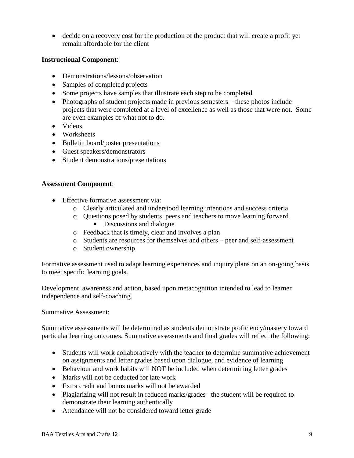decide on a recovery cost for the production of the product that will create a profit yet remain affordable for the client

## **Instructional Component**:

- Demonstrations/lessons/observation
- Samples of completed projects
- Some projects have samples that illustrate each step to be completed
- Photographs of student projects made in previous semesters these photos include projects that were completed at a level of excellence as well as those that were not. Some are even examples of what not to do.
- Videos
- Worksheets
- Bulletin board/poster presentations
- Guest speakers/demonstrators
- Student demonstrations/presentations

## **Assessment Component**:

- **Effective formative assessment via:** 
	- o Clearly articulated and understood learning intentions and success criteria
	- o Questions posed by students, peers and teachers to move learning forward
		- Discussions and dialogue
	- o Feedback that is timely, clear and involves a plan
	- o Students are resources for themselves and others peer and self-assessment
	- o Student ownership

Formative assessment used to adapt learning experiences and inquiry plans on an on-going basis to meet specific learning goals.

Development, awareness and action, based upon metacognition intended to lead to learner independence and self-coaching.

Summative Assessment:

Summative assessments will be determined as students demonstrate proficiency/mastery toward particular learning outcomes. Summative assessments and final grades will reflect the following:

- Students will work collaboratively with the teacher to determine summative achievement on assignments and letter grades based upon dialogue, and evidence of learning
- Behaviour and work habits will NOT be included when determining letter grades
- Marks will not be deducted for late work
- Extra credit and bonus marks will not be awarded
- Plagiarizing will not result in reduced marks/grades –the student will be required to demonstrate their learning authentically
- Attendance will not be considered toward letter grade